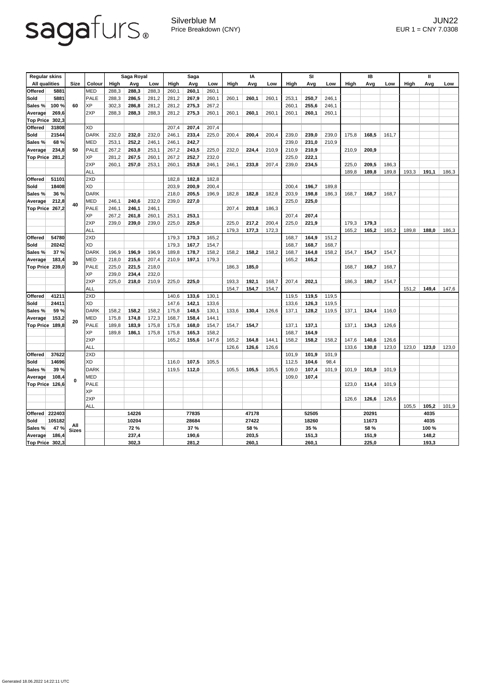## sagafurs.

Silverblue M JUN22 Price Breakdown (CNY) EUR 1 = CNY 7.0308

| <b>Regular skins</b> |                                  |                     |               | Saga Royal                    |       | <b>Saga</b> |                               |       | ΙA    |                        |       | <b>SI</b> |                      |       | IB    |               |       | Ш     |                |       |       |
|----------------------|----------------------------------|---------------------|---------------|-------------------------------|-------|-------------|-------------------------------|-------|-------|------------------------|-------|-----------|----------------------|-------|-------|---------------|-------|-------|----------------|-------|-------|
| <b>All qualities</b> |                                  | <b>Size</b>         | <b>Colour</b> | High                          | Avg   | Low         | High                          | Avg   | Low   | High                   | Avg   | Low       | High                 | Avg   | Low   | <b>High</b>   | Avg   | Low   | <b>High</b>    | Avg   | Low   |
| <b>Offered</b>       | 5881                             |                     | MED           | 288,3                         | 288,3 | 288,3       | 260,1                         | 260,1 | 260,1 |                        |       |           |                      |       |       |               |       |       |                |       |       |
| Sold                 | 5881                             | 60                  | <b>PALE</b>   | 288,3                         | 286,5 | 281,2       | 281,2                         | 267,9 | 260,1 | 260,1                  | 260,1 | 260,1     | 253,1                | 250,7 | 246,1 |               |       |       |                |       |       |
| Sales %              | 100 %                            |                     | XP            | 302,3                         | 286,8 | 281,2       | 281,2                         | 275,3 | 267,2 |                        |       |           | 260,1                | 255,6 | 246,1 |               |       |       |                |       |       |
| Average              | 269,6                            |                     | 2XP           | 288,3                         | 288,3 | 288,3       | 281,2                         | 275,3 | 260,1 | 260,1                  | 260,1 | 260,1     | 260,1                | 260,1 | 260,1 |               |       |       |                |       |       |
| <b>Top Price</b>     | 302,3                            |                     |               |                               |       |             |                               |       |       |                        |       |           |                      |       |       |               |       |       |                |       |       |
| <b>Offered</b>       | 31808                            |                     | <b>XD</b>     |                               |       |             | 207,4                         | 207,4 | 207,4 |                        |       |           |                      |       |       |               |       |       |                |       |       |
| Sold                 | 21544                            | 50                  | <b>DARK</b>   | 232,0                         | 232,0 | 232,0       | 246,1                         | 233,4 | 225,0 | 200,4                  | 200,4 | 200,4     | 239,0                | 239,0 | 239,0 | 175,8         | 168,5 | 161,7 |                |       |       |
| Sales %              | 68 %                             |                     | MED           | 253,1                         | 252,2 | 246,1       | 246,1                         | 242,7 |       |                        |       |           | 239,0                | 231,0 | 210,9 |               |       |       |                |       |       |
| Average              | 234,8                            |                     | <b>PALE</b>   | 267,2                         | 263,8 | 253,1       | 267,2                         | 243,5 | 225,0 | 232,0                  | 224,4 | 210,9     | 210,9                | 210,9 |       | 210,9         | 200,9 |       |                |       |       |
| Top Price 281,2      |                                  |                     | XP            | 281,2                         | 267,5 | 260,1       | 267,2                         | 252,7 | 232,0 |                        |       |           | 225,0                | 222,1 |       |               |       |       |                |       |       |
|                      |                                  |                     | 2XP           | 260,1                         | 257,0 | 253,1       | 260,1                         | 253,8 | 246,1 | 246,1                  | 233,8 | 207,4     | 239,0                | 234,5 |       | 225,0         | 209,5 | 186,3 |                |       |       |
|                      |                                  |                     | <b>ALL</b>    |                               |       |             |                               |       |       |                        |       |           |                      |       |       | 189,8         | 189,8 | 189,8 | 193,3          | 191,1 | 186,3 |
| <b>Offered</b>       | 51101                            |                     | 2XD           |                               |       |             | 182,8                         | 182,8 | 182,8 |                        |       |           |                      |       |       |               |       |       |                |       |       |
| <b>Sold</b>          | 18408                            |                     | <b>XD</b>     |                               |       |             | 203,9                         | 200,9 | 200,4 |                        |       |           | 200,4                | 196,7 | 189,8 |               |       |       |                |       |       |
| Sales %              | 36 %                             |                     | <b>DARK</b>   |                               |       |             | 218,0                         | 205,5 | 196,9 | 182,8                  | 182,8 | 182,8     | 203,9                | 198,8 | 186,3 | 168,7         | 168,7 | 168,7 |                |       |       |
| Average              | 212,8                            |                     | MED           | 246,1                         | 240,6 | 232,0       | 239,0                         | 227,0 |       |                        |       |           | 225,0                | 225,0 |       |               |       |       |                |       |       |
| <b>Top Price</b>     | 267,2                            | 40                  | <b>PALE</b>   | 246,1                         | 246,1 | 246,1       |                               |       |       | 207,4                  | 203,8 | 186,3     |                      |       |       |               |       |       |                |       |       |
|                      |                                  |                     | ΧP            | 267,2                         | 261,8 | 260,1       | 253,1                         | 253,1 |       |                        |       |           | 207,4                | 207,4 |       |               |       |       |                |       |       |
|                      |                                  |                     | 2XP           | 239,0                         | 239,0 | 239,0       | 225,0                         | 225,0 |       | 225,0                  | 217,2 | 200,4     | 225,0                | 221,9 |       | 179,3         | 179,3 |       |                |       |       |
|                      |                                  |                     | <b>ALL</b>    |                               |       |             |                               |       |       | 179,3                  | 177,3 | 172,3     |                      |       |       | 165,2         | 165,2 | 165,2 | 189,8          | 188,0 | 186,3 |
| <b>Offered</b>       | 54780                            | 30                  | 2XD           |                               |       |             | 179,3                         | 170,3 | 165,2 |                        |       |           | 168,7                | 164,9 | 151,2 |               |       |       |                |       |       |
| <b>Sold</b>          | 20242                            |                     | <b>XD</b>     |                               |       |             | 179,3                         | 167,7 | 154,7 |                        |       |           | 168,7                | 168,7 | 168,7 |               |       |       |                |       |       |
| <b>Sales %</b>       | 37 %                             |                     | DARK          | 196,9                         | 196,9 | 196,9       | 189,8                         | 178,7 | 158,2 | 158,2                  | 158,2 | 158,2     | 168,7                | 164,8 | 158,2 | 154,7         | 154,7 | 154,7 |                |       |       |
| Average              | 183,4                            |                     | <b>MED</b>    | 218,0                         | 215,6 | 207,4       | 210,9                         | 197,1 | 179,3 |                        |       |           | 165,2                | 165,2 |       |               |       |       |                |       |       |
| Top Price 239,0      |                                  |                     | <b>PALE</b>   | 225,0                         | 221,5 | 218,0       |                               |       |       | 186,3                  | 185,0 |           |                      |       |       | 168,7         | 168,7 | 168,7 |                |       |       |
|                      |                                  |                     | <b>XP</b>     | 239,0                         | 234,4 | 232,0       |                               |       |       |                        |       |           |                      |       |       |               |       |       |                |       |       |
|                      |                                  |                     | 2XP           | 225,0                         | 218,0 | 210,9       | 225,0                         | 225,0 |       | 193,3                  | 192,1 | 168,7     | 207,4                | 202,1 |       | 186,3         | 180,7 | 154,7 |                |       |       |
|                      |                                  |                     | <b>ALL</b>    |                               |       |             |                               |       |       | 154,7                  | 154,7 | 154,7     |                      |       |       |               |       |       | 151,2          | 149,4 | 147,6 |
| <b>Offered</b>       | 41211                            | 20                  | 2XD           |                               |       |             | 140,6                         | 133,6 | 130,1 |                        |       |           | 119,5                | 119,5 | 119,5 |               |       |       |                |       |       |
| Sold                 | 24411                            |                     | <b>XD</b>     |                               |       |             | 147,6                         | 142,1 | 133,6 |                        |       |           | 133,6                | 126,3 | 119,5 |               |       |       |                |       |       |
| Sales %              | 59 %                             |                     | <b>DARK</b>   | 158,2                         | 158,2 | 158,2       | 175,8                         | 148,5 | 130,1 | 133,6                  | 130,4 | 126,6     | 137,1                | 128,2 | 119,5 | 137,1         | 124,4 | 116,0 |                |       |       |
| <b>Average</b>       | 153,2                            |                     | MED           | 175,8                         | 174,8 | 172,3       | 168,7                         | 158,4 | 144,1 |                        |       |           |                      |       |       |               |       |       |                |       |       |
| Top Price 189,8      |                                  |                     | <b>PALE</b>   | 189,8                         | 183,9 | 175,8       | 175,8                         | 168,0 | 154,7 | 154,7                  | 154,7 |           | 137,1                | 137,1 |       | 137,1         | 134,3 | 126,6 |                |       |       |
|                      |                                  |                     | <b>XP</b>     | 189,8                         | 186,1 | 175,8       | 175,8                         | 165,3 | 158,2 |                        |       |           | 168,7                | 164,9 |       |               |       |       |                |       |       |
|                      |                                  |                     | 2XP           |                               |       |             | 165,2                         | 155,6 | 147,6 | 165,2                  | 164,8 | 144,1     | 158,2                | 158,2 | 158,2 | 147,6         | 140,6 | 126,6 |                |       |       |
|                      |                                  |                     | <b>ALL</b>    |                               |       |             |                               |       |       | 126,6                  | 126,6 | 126,6     |                      |       |       | 133,6         | 130,8 | 123,0 | 123,0          | 123,0 | 123,0 |
| <b>Offered</b>       | 37622                            |                     | 2XD           |                               |       |             |                               |       |       |                        |       |           | 101,9                | 101,9 | 101,9 |               |       |       |                |       |       |
| <b>Sold</b>          | 14696                            |                     | <b>XD</b>     |                               |       |             | 116,0                         | 107,5 | 105,5 |                        |       |           | 112,5                | 104,6 | 98,4  |               |       |       |                |       |       |
| Sales %              | 39 %                             | $\mathbf{0}$        | <b>DARK</b>   |                               |       |             | 119,5                         | 112,0 |       | 105,5                  | 105,5 | 105,5     | 109,0                | 107,4 | 101,9 | 101,9         | 101,9 | 101,9 |                |       |       |
| <b>Average</b>       | 108,4                            |                     | MED           |                               |       |             |                               |       |       |                        |       |           | 109,0                | 107,4 |       |               |       |       |                |       |       |
| <b>Top Price</b>     | 126,6                            |                     | <b>PALE</b>   |                               |       |             |                               |       |       |                        |       |           |                      |       |       | 123,0         | 114,4 | 101,9 |                |       |       |
|                      |                                  |                     | <b>XP</b>     |                               |       |             |                               |       |       |                        |       |           |                      |       |       |               |       |       |                |       |       |
|                      |                                  |                     | 2XP           |                               |       |             |                               |       |       |                        |       |           |                      |       |       | 126,6         | 126,6 | 126,6 |                |       |       |
|                      |                                  |                     | <b>ALL</b>    |                               |       |             |                               |       |       |                        |       |           |                      |       |       |               |       |       | 105,5          | 105,2 | 101,9 |
| Offered              | 222403                           |                     | 14226         |                               |       | 77835       |                               |       | 47178 |                        |       | 52505     |                      |       | 20291 |               |       | 4035  |                |       |       |
| <b>Sold</b>          | 105182                           |                     |               | 10204<br><b>72 %</b><br>237,4 |       |             | 28684<br><b>37 %</b><br>190,6 |       |       | 27422<br>58 %<br>203,5 |       |           |                      | 18260 |       | 11673         |       |       | 4035           |       |       |
| Sales %              | 47 %                             | All<br><b>Sizes</b> |               |                               |       |             |                               |       |       |                        |       |           | <b>35 %</b><br>151,3 |       |       | 58 %<br>151,9 |       |       | 100 %<br>148,2 |       |       |
|                      |                                  |                     |               |                               |       |             |                               |       |       |                        |       |           |                      |       |       |               |       |       |                |       |       |
|                      | Average 186,4<br>Top Price 302,3 |                     |               | 302,3                         |       |             | 281,2                         |       |       | 260,1                  |       |           | 260,1                |       |       | 225,0         |       |       | 193,3          |       |       |